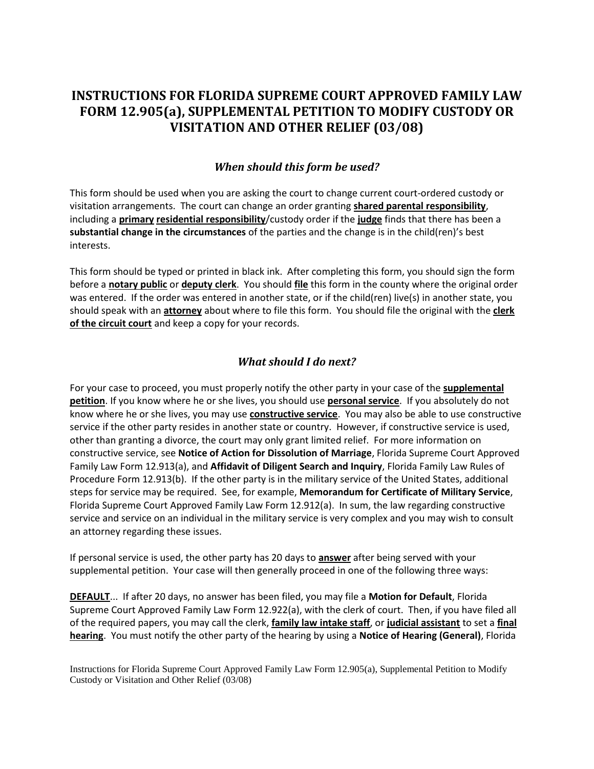## **FORM 12.905(a), SUPPLEMENTAL PETITION TO MODIFY CUSTODY OR VISITATION AND OTHER RELIEF (03/08) INSTRUCTIONS FOR FLORIDA SUPREME COURT APPROVED FAMILY LAW**

#### *When should this form be used?*

 visitation arrangements. The court can change an order granting **shared parental responsibility**,  **substantial change in the circumstances** of the parties and the change is in the child(ren)'s best This form should be used when you are asking the court to change current court-ordered custody or including a **primary residential responsibility**/custody order if the **judge** finds that there has been a interests.

 before a **notary public** or **deputy clerk**. You should **file** this form in the county where the original order should speak with an **attorney** about where to file this form. You should file the original with the **clerk of the circuit court** and keep a copy for your records. This form should be typed or printed in black ink. After completing this form, you should sign the form was entered. If the order was entered in another state, or if the child(ren) live(s) in another state, you

#### *What should I do next?*

 **petition**. If you know where he or she lives, you should use **personal service**. If you absolutely do not Family Law Form 12.913(a), and **Affidavit of Diligent Search and Inquiry**, Florida Family Law Rules of Procedure Form 12.913(b). If the other party is in the military service of the United States, additional Florida Supreme Court Approved Family Law Form 12.912(a). In sum, the law regarding constructive For your case to proceed, you must properly notify the other party in your case of the **supplemental**  know where he or she lives, you may use **constructive service**. You may also be able to use constructive service if the other party resides in another state or country. However, if constructive service is used, other than granting a divorce, the court may only grant limited relief. For more information on constructive service, see **Notice of Action for Dissolution of Marriage**, Florida Supreme Court Approved steps for service may be required. See, for example, **Memorandum for Certificate of Military Service**, service and service on an individual in the military service is very complex and you may wish to consult an attorney regarding these issues.

 If personal service is used, the other party has 20 days to **answer** after being served with your supplemental petition. Your case will then generally proceed in one of the following three ways:

 of the required papers, you may call the clerk, **family law intake staff**, or **judicial assistant** to set a **final DEFAULT**... If after 20 days, no answer has been filed, you may file a **Motion for Default**, Florida Supreme Court Approved Family Law Form 12.922(a), with the clerk of court. Then, if you have filed all **hearing**. You must notify the other party of the hearing by using a **Notice of Hearing (General)**, Florida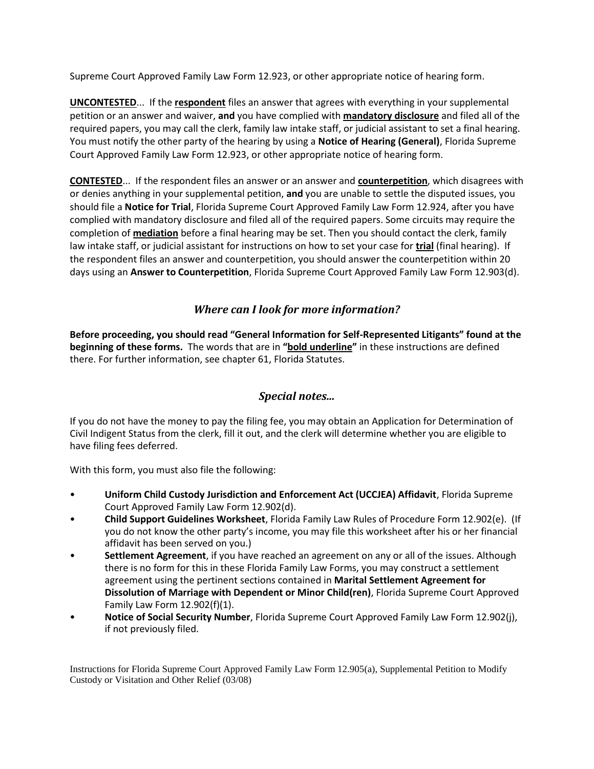Supreme Court Approved Family Law Form 12.923, or other appropriate notice of hearing form.

 petition or an answer and waiver, **and** you have complied with **mandatory disclosure** and filed all of the Court Approved Family Law Form 12.923, or other appropriate notice of hearing form. **UNCONTESTED**... If the **respondent** files an answer that agrees with everything in your supplemental required papers, you may call the clerk, family law intake staff, or judicial assistant to set a final hearing. You must notify the other party of the hearing by using a **Notice of Hearing (General)**, Florida Supreme

 the respondent files an answer and counterpetition, you should answer the counterpetition within 20 **CONTESTED**... If the respondent files an answer or an answer and **counterpetition**, which disagrees with or denies anything in your supplemental petition, **and** you are unable to settle the disputed issues, you should file a **Notice for Trial**, Florida Supreme Court Approved Family Law Form 12.924, after you have complied with mandatory disclosure and filed all of the required papers. Some circuits may require the completion of **mediation** before a final hearing may be set. Then you should contact the clerk, family law intake staff, or judicial assistant for instructions on how to set your case for **trial** (final hearing). If days using an **Answer to Counterpetition**, Florida Supreme Court Approved Family Law Form 12.903(d).

### *Where can I look for more information?*

 **beginning of these forms.** The words that are in **"bold underline"** in these instructions are defined **Before proceeding, you should read "General Information for Self-Represented Litigants" found at the**  there. For further information, see chapter 61, Florida Statutes.

#### *Special notes...*

If you do not have the money to pay the filing fee, you may obtain an Application for Determination of Civil Indigent Status from the clerk, fill it out, and the clerk will determine whether you are eligible to have filing fees deferred.

With this form, you must also file the following:

- Court Approved Family Law Form 12.902(d). **Uniform Child Custody Jurisdiction and Enforcement Act (UCCJEA) Affidavit**, Florida Supreme
- • **Child Support Guidelines Worksheet**, Florida Family Law Rules of Procedure Form 12.902(e). (If you do not know the other party's income, you may file this worksheet after his or her financial affidavit has been served on you.)
- • **Settlement Agreement**, if you have reached an agreement on any or all of the issues. Although Family Law Form 12.902(f)(1). there is no form for this in these Florida Family Law Forms, you may construct a settlement agreement using the pertinent sections contained in **Marital Settlement Agreement for Dissolution of Marriage with Dependent or Minor Child(ren)**, Florida Supreme Court Approved
- • **Notice of Social Security Number**, Florida Supreme Court Approved Family Law Form 12.902(j), if not previously filed.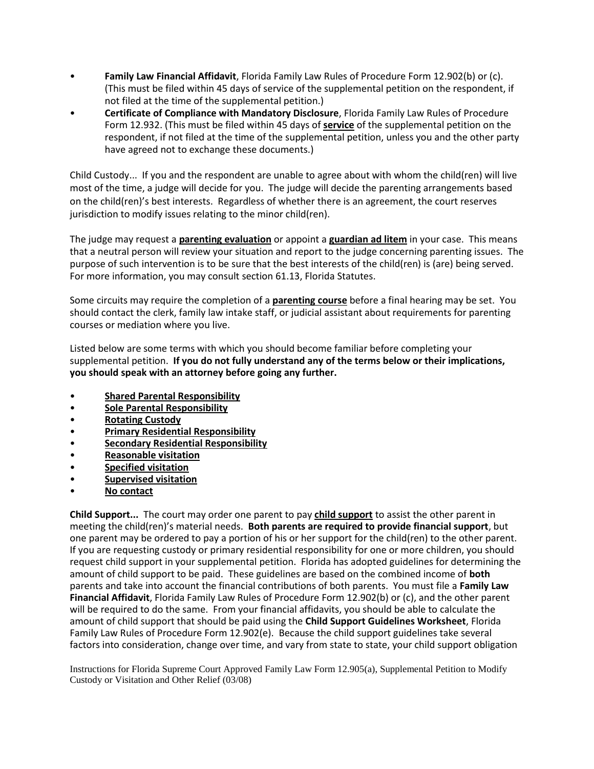- **Family Law Financial Affidavit**, Florida Family Law Rules of Procedure Form 12.902(b) or (c). (This must be filed within 45 days of service of the supplemental petition on the respondent, if not filed at the time of the supplemental petition.)
- **Certificate of Compliance with Mandatory Disclosure**, Florida Family Law Rules of Procedure Form 12.932. (This must be filed within 45 days of **service** of the supplemental petition on the respondent, if not filed at the time of the supplemental petition, unless you and the other party have agreed not to exchange these documents.)

 on the child(ren)'s best interests. Regardless of whether there is an agreement, the court reserves Child Custody... If you and the respondent are unable to agree about with whom the child(ren) will live most of the time, a judge will decide for you. The judge will decide the parenting arrangements based jurisdiction to modify issues relating to the minor child(ren).

 The judge may request a **parenting evaluation** or appoint a **guardian ad litem** in your case. This means purpose of such intervention is to be sure that the best interests of the child(ren) is (are) being served.<br>For more information, you may consult section 61.13, Florida Statutes. that a neutral person will review your situation and report to the judge concerning parenting issues. The

 Some circuits may require the completion of a **parenting course** before a final hearing may be set. You should contact the clerk, family law intake staff, or judicial assistant about requirements for parenting courses or mediation where you live.

Listed below are some terms with which you should become familiar before completing your supplemental petition. **If you do not fully understand any of the terms below or their implications, you should speak with an attorney before going any further.** 

- • **Shared Parental Responsibility**
- • **Sole Parental Responsibility**
- • **Rotating Custody**
- • **Primary Residential Responsibility**
- • **Secondary Residential Responsibility**
- • **Reasonable visitation**
- • **Specified visitation**
- • **Supervised visitation**
- **No contact**

 **Child Support...** The court may order one parent to pay **child support** to assist the other parent in If you are requesting custody or primary residential responsibility for one or more children, you should parents and take into account the financial contributions of both parents. You must file a **Family Law**  Family Law Rules of Procedure Form 12.902(e). Because the child support guidelines take several meeting the child(ren)'s material needs. **Both parents are required to provide financial support**, but one parent may be ordered to pay a portion of his or her support for the child(ren) to the other parent. request child support in your supplemental petition. Florida has adopted guidelines for determining the amount of child support to be paid. These guidelines are based on the combined income of **both Financial Affidavit**, Florida Family Law Rules of Procedure Form 12.902(b) or (c), and the other parent will be required to do the same. From your financial affidavits, you should be able to calculate the amount of child support that should be paid using the **Child Support Guidelines Worksheet**, Florida factors into consideration, change over time, and vary from state to state, your child support obligation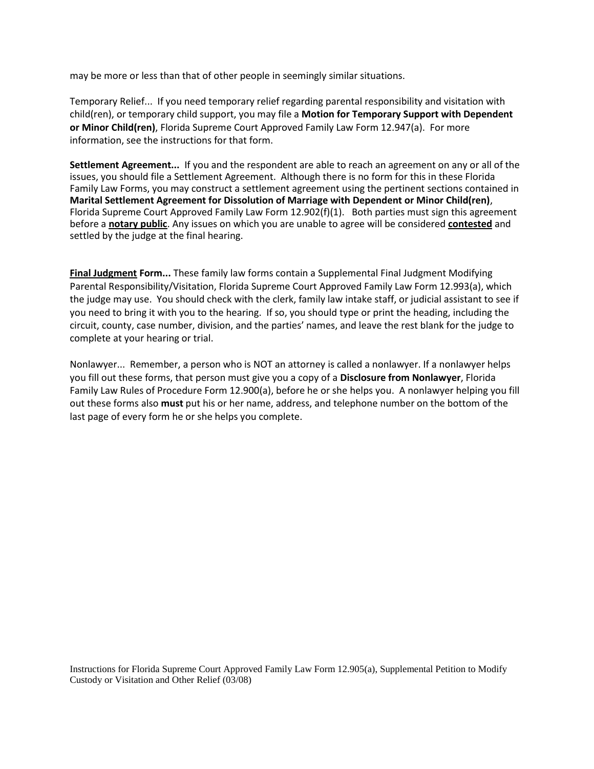may be more or less than that of other people in seemingly similar situations.

Temporary Relief... If you need temporary relief regarding parental responsibility and visitation with child(ren), or temporary child support, you may file a **Motion for Temporary Support with Dependent or Minor Child(ren)**, Florida Supreme Court Approved Family Law Form 12.947(a). For more information, see the instructions for that form.

 **Settlement Agreement...** If you and the respondent are able to reach an agreement on any or all of the Florida Supreme Court Approved Family Law Form 12.902(f)(1). Both parties must sign this agreement before a **notary public**. Any issues on which you are unable to agree will be considered **contested** and issues, you should file a Settlement Agreement. Although there is no form for this in these Florida Family Law Forms, you may construct a settlement agreement using the pertinent sections contained in **Marital Settlement Agreement for Dissolution of Marriage with Dependent or Minor Child(ren)**, settled by the judge at the final hearing.

 complete at your hearing or trial. **Final Judgment Form...** These family law forms contain a Supplemental Final Judgment Modifying Parental Responsibility/Visitation, Florida Supreme Court Approved Family Law Form 12.993(a), which the judge may use. You should check with the clerk, family law intake staff, or judicial assistant to see if you need to bring it with you to the hearing. If so, you should type or print the heading, including the circuit, county, case number, division, and the parties' names, and leave the rest blank for the judge to

 you fill out these forms, that person must give you a copy of a **Disclosure from Nonlawyer**, Florida out these forms also **must** put his or her name, address, and telephone number on the bottom of the last page of every form he or she helps you complete. Nonlawyer... Remember, a person who is NOT an attorney is called a nonlawyer. If a nonlawyer helps Family Law Rules of Procedure Form 12.900(a), before he or she helps you. A nonlawyer helping you fill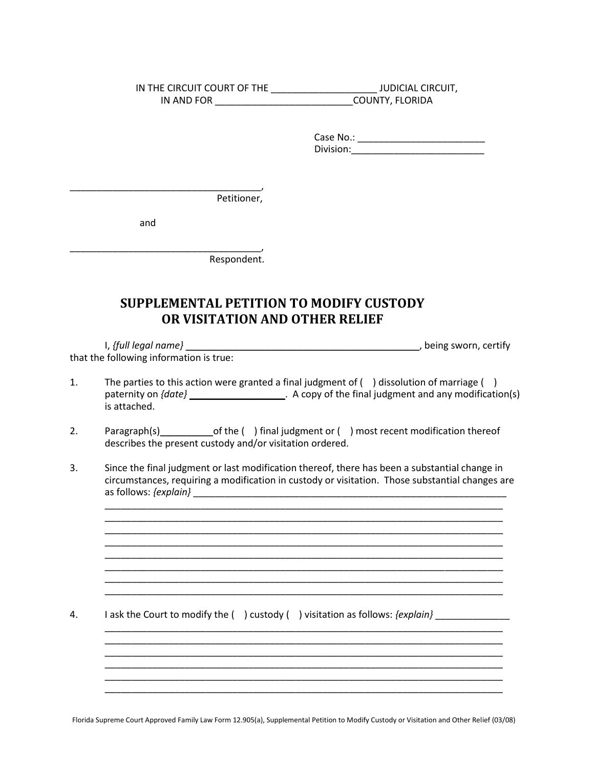IN THE CIRCUIT COURT OF THE \_\_\_\_\_\_\_\_\_\_\_\_\_\_\_\_\_\_\_\_ JUDICIAL CIRCUIT, IN AND FOR \_\_\_\_\_\_\_\_\_\_\_\_\_\_\_\_\_\_\_\_\_\_\_\_\_\_COUNTY, FLORIDA

> Case No.: \_\_\_\_\_\_\_\_\_\_\_\_\_\_\_\_\_\_\_\_\_\_\_\_ Division:\_\_\_\_\_\_\_\_\_\_\_\_\_\_\_\_\_\_\_\_\_\_\_\_\_

\_\_\_\_\_\_\_\_\_\_\_\_\_\_\_\_\_\_\_\_\_\_\_\_\_\_\_\_\_\_\_\_\_\_\_\_, Petitioner,

and

\_\_\_\_\_\_\_\_\_\_\_\_\_\_\_\_\_\_\_\_\_\_\_\_\_\_\_\_\_\_\_\_\_\_\_\_, Respondent.

### **SUPPLEMENTAL PETITION TO MODIFY CUSTODY OR VISITATION AND OTHER RELIEF**

I, *{full legal name}* \_\_\_\_\_\_\_\_\_\_\_\_\_\_\_\_\_\_\_\_\_\_\_\_\_\_\_\_\_\_\_\_\_\_\_\_\_\_\_\_\_\_\_\_, being sworn, certify that the following information is true:

- 1. The parties to this action were granted a final judgment of () dissolution of marriage () paternity on *{date}* \_\_\_\_\_\_\_\_\_\_\_\_\_\_\_\_\_\_. A copy of the final judgment and any modification(s) is attached.
- 2. Paragraph(s) \_\_\_\_\_\_\_\_\_\_\_\_\_\_\_of the () final judgment or () most recent modification thereof describes the present custody and/or visitation ordered.
- as follows: *{explain}* \_\_\_\_\_\_\_\_\_\_\_\_\_\_\_\_\_\_\_\_\_\_\_\_\_\_\_\_\_\_\_\_\_\_\_\_\_\_\_\_\_\_\_\_\_\_\_\_\_\_\_\_\_\_\_\_\_\_\_ 3. Since the final judgment or last modification thereof, there has been a substantial change in circumstances, requiring a modification in custody or visitation. Those substantial changes are

\_\_\_\_\_\_\_\_\_\_\_\_\_\_\_\_\_\_\_\_\_\_\_\_\_\_\_\_\_\_\_\_\_\_\_\_\_\_\_\_\_\_\_\_\_\_\_\_\_\_\_\_\_\_\_\_\_\_\_\_\_\_\_\_\_\_\_\_\_\_\_\_\_\_\_ \_\_\_\_\_\_\_\_\_\_\_\_\_\_\_\_\_\_\_\_\_\_\_\_\_\_\_\_\_\_\_\_\_\_\_\_\_\_\_\_\_\_\_\_\_\_\_\_\_\_\_\_\_\_\_\_\_\_\_\_\_\_\_\_\_\_\_\_\_\_\_\_\_\_\_ \_\_\_\_\_\_\_\_\_\_\_\_\_\_\_\_\_\_\_\_\_\_\_\_\_\_\_\_\_\_\_\_\_\_\_\_\_\_\_\_\_\_\_\_\_\_\_\_\_\_\_\_\_\_\_\_\_\_\_\_\_\_\_\_\_\_\_\_\_\_\_\_\_\_\_ \_\_\_\_\_\_\_\_\_\_\_\_\_\_\_\_\_\_\_\_\_\_\_\_\_\_\_\_\_\_\_\_\_\_\_\_\_\_\_\_\_\_\_\_\_\_\_\_\_\_\_\_\_\_\_\_\_\_\_\_\_\_\_\_\_\_\_\_\_\_\_\_\_\_\_ \_\_\_\_\_\_\_\_\_\_\_\_\_\_\_\_\_\_\_\_\_\_\_\_\_\_\_\_\_\_\_\_\_\_\_\_\_\_\_\_\_\_\_\_\_\_\_\_\_\_\_\_\_\_\_\_\_\_\_\_\_\_\_\_\_\_\_\_\_\_\_\_\_\_\_

\_\_\_\_\_\_\_\_\_\_\_\_\_\_\_\_\_\_\_\_\_\_\_\_\_\_\_\_\_\_\_\_\_\_\_\_\_\_\_\_\_\_\_\_\_\_\_\_\_\_\_\_\_\_\_\_\_\_\_\_\_\_\_\_\_\_\_\_\_\_\_\_\_\_\_

\_\_\_\_\_\_\_\_\_\_\_\_\_\_\_\_\_\_\_\_\_\_\_\_\_\_\_\_\_\_\_\_\_\_\_\_\_\_\_\_\_\_\_\_\_\_\_\_\_\_\_\_\_\_\_\_\_\_\_\_\_\_\_\_\_\_\_\_\_\_\_\_\_\_\_ \_\_\_\_\_\_\_\_\_\_\_\_\_\_\_\_\_\_\_\_\_\_\_\_\_\_\_\_\_\_\_\_\_\_\_\_\_\_\_\_\_\_\_\_\_\_\_\_\_\_\_\_\_\_\_\_\_\_\_\_\_\_\_\_\_\_\_\_\_\_\_\_\_\_\_ \_\_\_\_\_\_\_\_\_\_\_\_\_\_\_\_\_\_\_\_\_\_\_\_\_\_\_\_\_\_\_\_\_\_\_\_\_\_\_\_\_\_\_\_\_\_\_\_\_\_\_\_\_\_\_\_\_\_\_\_\_\_\_\_\_\_\_\_\_\_\_\_\_\_\_ \_\_\_\_\_\_\_\_\_\_\_\_\_\_\_\_\_\_\_\_\_\_\_\_\_\_\_\_\_\_\_\_\_\_\_\_\_\_\_\_\_\_\_\_\_\_\_\_\_\_\_\_\_\_\_\_\_\_\_\_\_\_\_\_\_\_\_\_\_\_\_\_\_\_\_ \_\_\_\_\_\_\_\_\_\_\_\_\_\_\_\_\_\_\_\_\_\_\_\_\_\_\_\_\_\_\_\_\_\_\_\_\_\_\_\_\_\_\_\_\_\_\_\_\_\_\_\_\_\_\_\_\_\_\_\_\_\_\_\_\_\_\_\_\_\_\_\_\_\_\_ \_\_\_\_\_\_\_\_\_\_\_\_\_\_\_\_\_\_\_\_\_\_\_\_\_\_\_\_\_\_\_\_\_\_\_\_\_\_\_\_\_\_\_\_\_\_\_\_\_\_\_\_\_\_\_\_\_\_\_\_\_\_\_\_\_\_\_\_\_\_\_\_\_\_\_

4. I ask the Court to modify the () custody () visitation as follows:  $\{explain\}$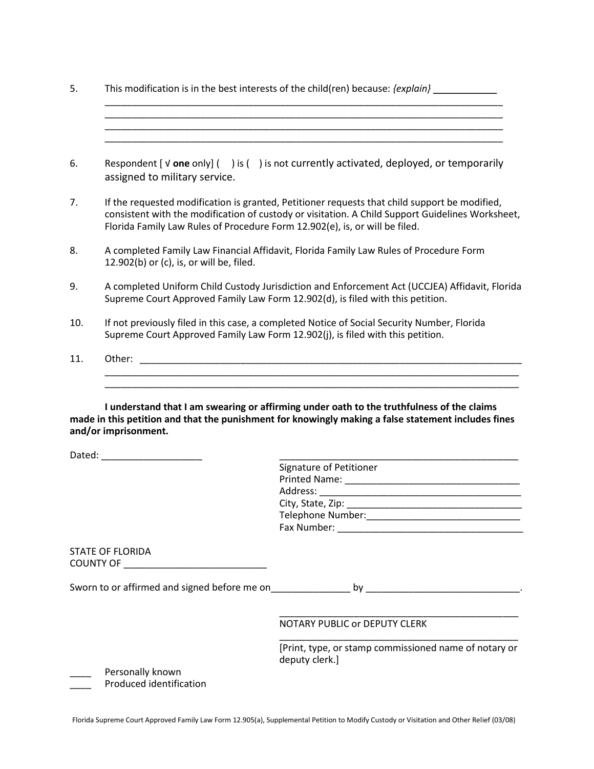| J. | This modification is in the best interests of the child(ren) because: {explain} |  |
|----|---------------------------------------------------------------------------------|--|
|----|---------------------------------------------------------------------------------|--|

\_\_\_\_\_\_\_\_\_\_\_\_\_\_\_\_\_\_\_\_\_\_\_\_\_\_\_\_\_\_\_\_\_\_\_\_\_\_\_\_\_\_\_\_\_\_\_\_\_\_\_\_\_\_\_\_\_\_\_\_\_\_\_\_\_\_\_\_\_\_\_\_\_\_\_

| 6.               | assigned to military service.                                                                                                                                                                                                                                                    | Respondent $[\sqrt{v}$ one only $]$ ( ) is ( ) is not currently activated, deployed, or temporarily                                                                                                                            |  |  |  |
|------------------|----------------------------------------------------------------------------------------------------------------------------------------------------------------------------------------------------------------------------------------------------------------------------------|--------------------------------------------------------------------------------------------------------------------------------------------------------------------------------------------------------------------------------|--|--|--|
| 7.               | If the requested modification is granted, Petitioner requests that child support be modified,<br>consistent with the modification of custody or visitation. A Child Support Guidelines Worksheet,<br>Florida Family Law Rules of Procedure Form 12.902(e), is, or will be filed. |                                                                                                                                                                                                                                |  |  |  |
| 8.               | A completed Family Law Financial Affidavit, Florida Family Law Rules of Procedure Form<br>12.902(b) or (c), is, or will be, filed.                                                                                                                                               |                                                                                                                                                                                                                                |  |  |  |
| 9.               |                                                                                                                                                                                                                                                                                  | A completed Uniform Child Custody Jurisdiction and Enforcement Act (UCCJEA) Affidavit, Florida<br>Supreme Court Approved Family Law Form 12.902(d), is filed with this petition.                                               |  |  |  |
| 10.              | If not previously filed in this case, a completed Notice of Social Security Number, Florida<br>Supreme Court Approved Family Law Form 12.902(j), is filed with this petition.                                                                                                    |                                                                                                                                                                                                                                |  |  |  |
| 11.              |                                                                                                                                                                                                                                                                                  |                                                                                                                                                                                                                                |  |  |  |
|                  |                                                                                                                                                                                                                                                                                  |                                                                                                                                                                                                                                |  |  |  |
|                  | and/or imprisonment.                                                                                                                                                                                                                                                             | I understand that I am swearing or affirming under oath to the truthfulness of the claims<br>made in this petition and that the punishment for knowingly making a false statement includes fines                               |  |  |  |
|                  | Dated: ______________________                                                                                                                                                                                                                                                    |                                                                                                                                                                                                                                |  |  |  |
|                  |                                                                                                                                                                                                                                                                                  | Signature of Petitioner                                                                                                                                                                                                        |  |  |  |
|                  |                                                                                                                                                                                                                                                                                  |                                                                                                                                                                                                                                |  |  |  |
|                  |                                                                                                                                                                                                                                                                                  |                                                                                                                                                                                                                                |  |  |  |
|                  |                                                                                                                                                                                                                                                                                  |                                                                                                                                                                                                                                |  |  |  |
| <b>COUNTY OF</b> | <b>STATE OF FLORIDA</b>                                                                                                                                                                                                                                                          |                                                                                                                                                                                                                                |  |  |  |
|                  |                                                                                                                                                                                                                                                                                  | Sworn to or affirmed and signed before me on by by the state of the state of the state of the state of the state of the state of the state of the state of the state of the state of the state of the state of the state of th |  |  |  |
|                  |                                                                                                                                                                                                                                                                                  | NOTARY PUBLIC or DEPUTY CLERK                                                                                                                                                                                                  |  |  |  |
|                  |                                                                                                                                                                                                                                                                                  | [Print, type, or stamp commissioned name of notary or<br>deputy clerk.]                                                                                                                                                        |  |  |  |

\_\_\_\_\_\_ Personally known Produced identification